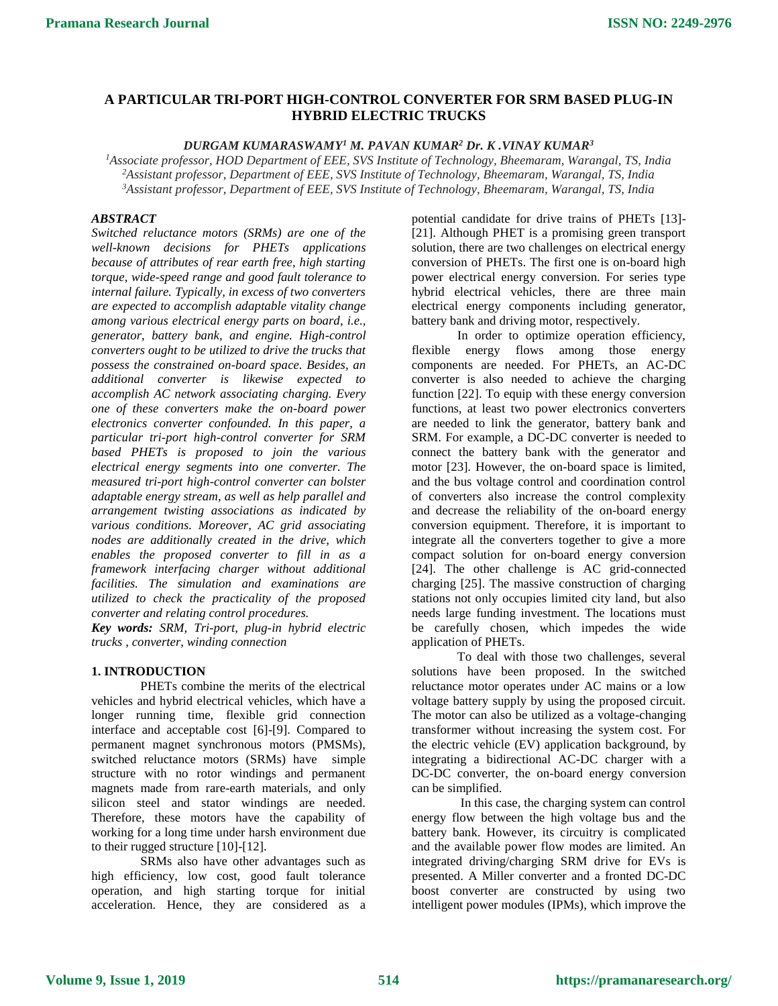# **A PARTICULAR TRI-PORT HIGH-CONTROL CONVERTER FOR SRM BASED PLUG-IN HYBRID ELECTRIC TRUCKS**

## *DURGAM KUMARASWAMY<sup>1</sup> M. PAVAN KUMAR<sup>2</sup> Dr. K .VINAY KUMAR<sup>3</sup>*

*<sup>1</sup>Associate professor, HOD Department of EEE, SVS Institute of Technology, Bheemaram, Warangal, TS, India <sup>2</sup>Assistant professor, Department of EEE, SVS Institute of Technology, Bheemaram, Warangal, TS, India <sup>3</sup>Assistant professor, Department of EEE, SVS Institute of Technology, Bheemaram, Warangal, TS, India*

## *ABSTRACT*

*Switched reluctance motors (SRMs) are one of the well-known decisions for PHETs applications because of attributes of rear earth free, high starting torque, wide-speed range and good fault tolerance to internal failure. Typically, in excess of two converters are expected to accomplish adaptable vitality change among various electrical energy parts on board, i.e., generator, battery bank, and engine. High-control converters ought to be utilized to drive the trucks that possess the constrained on-board space. Besides, an additional converter is likewise expected to accomplish AC network associating charging. Every one of these converters make the on-board power electronics converter confounded. In this paper, a particular tri-port high-control converter for SRM based PHETs is proposed to join the various electrical energy segments into one converter. The measured tri-port high-control converter can bolster adaptable energy stream, as well as help parallel and arrangement twisting associations as indicated by various conditions. Moreover, AC grid associating nodes are additionally created in the drive, which enables the proposed converter to fill in as a framework interfacing charger without additional facilities. The simulation and examinations are utilized to check the practicality of the proposed converter and relating control procedures.*

*Key words: SRM, Tri-port, plug-in hybrid electric trucks , converter, winding connection*

### **1. INTRODUCTION**

PHETs combine the merits of the electrical vehicles and hybrid electrical vehicles, which have a longer running time, flexible grid connection interface and acceptable cost [6]-[9]. Compared to permanent magnet synchronous motors (PMSMs), switched reluctance motors (SRMs) have simple structure with no rotor windings and permanent magnets made from rare-earth materials, and only silicon steel and stator windings are needed. Therefore, these motors have the capability of working for a long time under harsh environment due to their rugged structure [10]-[12].

SRMs also have other advantages such as high efficiency, low cost, good fault tolerance operation, and high starting torque for initial acceleration. Hence, they are considered as a

potential candidate for drive trains of PHETs [13]- [21]. Although PHET is a promising green transport solution, there are two challenges on electrical energy conversion of PHETs. The first one is on-board high power electrical energy conversion. For series type hybrid electrical vehicles, there are three main electrical energy components including generator, battery bank and driving motor, respectively.

In order to optimize operation efficiency, flexible energy flows among those energy components are needed. For PHETs, an AC-DC converter is also needed to achieve the charging function [22]. To equip with these energy conversion functions, at least two power electronics converters are needed to link the generator, battery bank and SRM. For example, a DC-DC converter is needed to connect the battery bank with the generator and motor [23]. However, the on-board space is limited, and the bus voltage control and coordination control of converters also increase the control complexity and decrease the reliability of the on-board energy conversion equipment. Therefore, it is important to integrate all the converters together to give a more compact solution for on-board energy conversion [24]. The other challenge is AC grid-connected charging [25]. The massive construction of charging stations not only occupies limited city land, but also needs large funding investment. The locations must be carefully chosen, which impedes the wide application of PHETs.

To deal with those two challenges, several solutions have been proposed. In the switched reluctance motor operates under AC mains or a low voltage battery supply by using the proposed circuit. The motor can also be utilized as a voltage-changing transformer without increasing the system cost. For the electric vehicle (EV) application background, by integrating a bidirectional AC-DC charger with a DC-DC converter, the on-board energy conversion can be simplified.

In this case, the charging system can control energy flow between the high voltage bus and the battery bank. However, its circuitry is complicated and the available power flow modes are limited. An integrated driving/charging SRM drive for EVs is presented. A Miller converter and a fronted DC-DC boost converter are constructed by using two intelligent power modules (IPMs), which improve the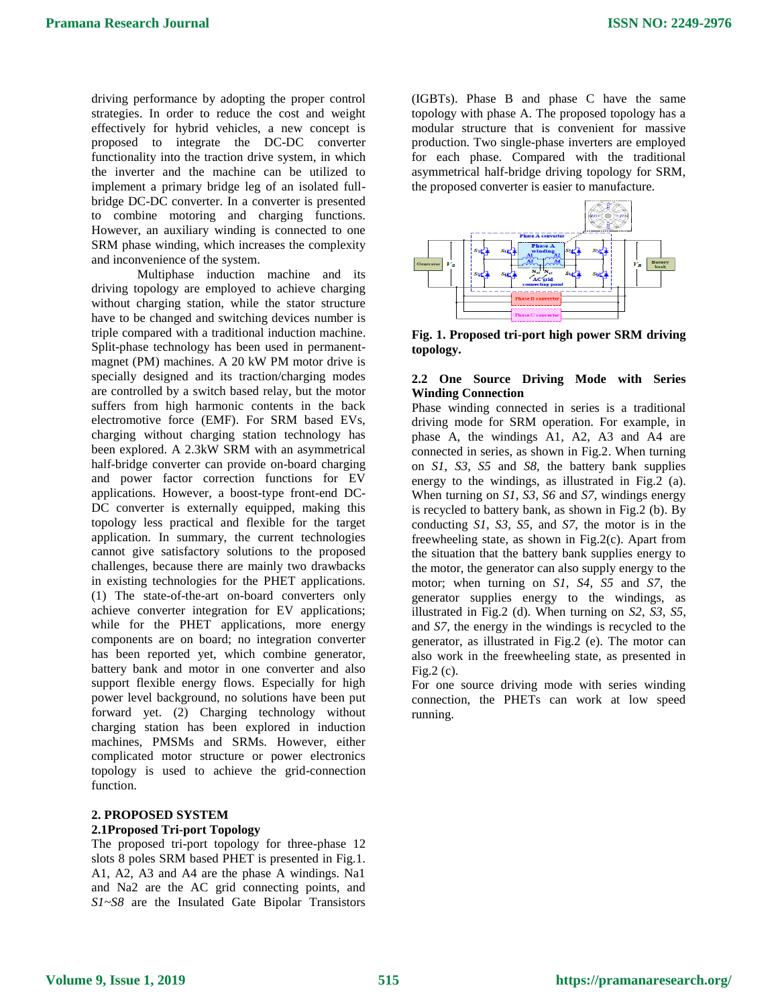driving performance by adopting the proper control strategies. In order to reduce the cost and weight effectively for hybrid vehicles, a new concept is proposed to integrate the DC-DC converter functionality into the traction drive system, in which the inverter and the machine can be utilized to implement a primary bridge leg of an isolated fullbridge DC-DC converter. In a converter is presented to combine motoring and charging functions. However, an auxiliary winding is connected to one SRM phase winding, which increases the complexity and inconvenience of the system.

Multiphase induction machine and its driving topology are employed to achieve charging without charging station, while the stator structure have to be changed and switching devices number is triple compared with a traditional induction machine. Split-phase technology has been used in permanentmagnet (PM) machines. A 20 kW PM motor drive is specially designed and its traction/charging modes are controlled by a switch based relay, but the motor suffers from high harmonic contents in the back electromotive force (EMF). For SRM based EVs, charging without charging station technology has been explored. A 2.3kW SRM with an asymmetrical half-bridge converter can provide on-board charging and power factor correction functions for EV applications. However, a boost-type front-end DC-DC converter is externally equipped, making this topology less practical and flexible for the target application. In summary, the current technologies cannot give satisfactory solutions to the proposed challenges, because there are mainly two drawbacks in existing technologies for the PHET applications. (1) The state-of-the-art on-board converters only achieve converter integration for EV applications; while for the PHET applications, more energy components are on board; no integration converter has been reported yet, which combine generator, battery bank and motor in one converter and also support flexible energy flows. Especially for high power level background, no solutions have been put forward yet. (2) Charging technology without charging station has been explored in induction machines, PMSMs and SRMs. However, either complicated motor structure or power electronics topology is used to achieve the grid-connection function.

#### **2. PROPOSED SYSTEM 2.1Proposed Tri-port Topology**

The proposed tri-port topology for three-phase 12 slots 8 poles SRM based PHET is presented in Fig.1. A1, A2, A3 and A4 are the phase A windings. Na1 and Na2 are the AC grid connecting points, and *S1*~*S8* are the Insulated Gate Bipolar Transistors (IGBTs). Phase B and phase C have the same topology with phase A. The proposed topology has a modular structure that is convenient for massive production. Two single-phase inverters are employed for each phase. Compared with the traditional asymmetrical half-bridge driving topology for SRM, the proposed converter is easier to manufacture.



**Fig. 1. Proposed tri-port high power SRM driving topology.**

## **2.2 One Source Driving Mode with Series Winding Connection**

Phase winding connected in series is a traditional driving mode for SRM operation. For example, in phase A, the windings A1, A2, A3 and A4 are connected in series, as shown in Fig.2. When turning on *S1*, *S3*, *S5* and *S8*, the battery bank supplies energy to the windings, as illustrated in Fig.2 (a). When turning on *S1*, *S3*, *S6* and *S7*, windings energy is recycled to battery bank, as shown in Fig.2 (b). By conducting *S1*, *S3*, *S5*, and *S7*, the motor is in the freewheeling state, as shown in Fig.2(c). Apart from the situation that the battery bank supplies energy to the motor, the generator can also supply energy to the motor; when turning on *S1*, *S4*, *S5* and *S7*, the generator supplies energy to the windings, as illustrated in Fig.2 (d). When turning on *S2*, *S3*, *S5*, and *S7*, the energy in the windings is recycled to the generator, as illustrated in Fig.2 (e). The motor can also work in the freewheeling state, as presented in  $Fig.2 (c).$ 

For one source driving mode with series winding connection, the PHETs can work at low speed running.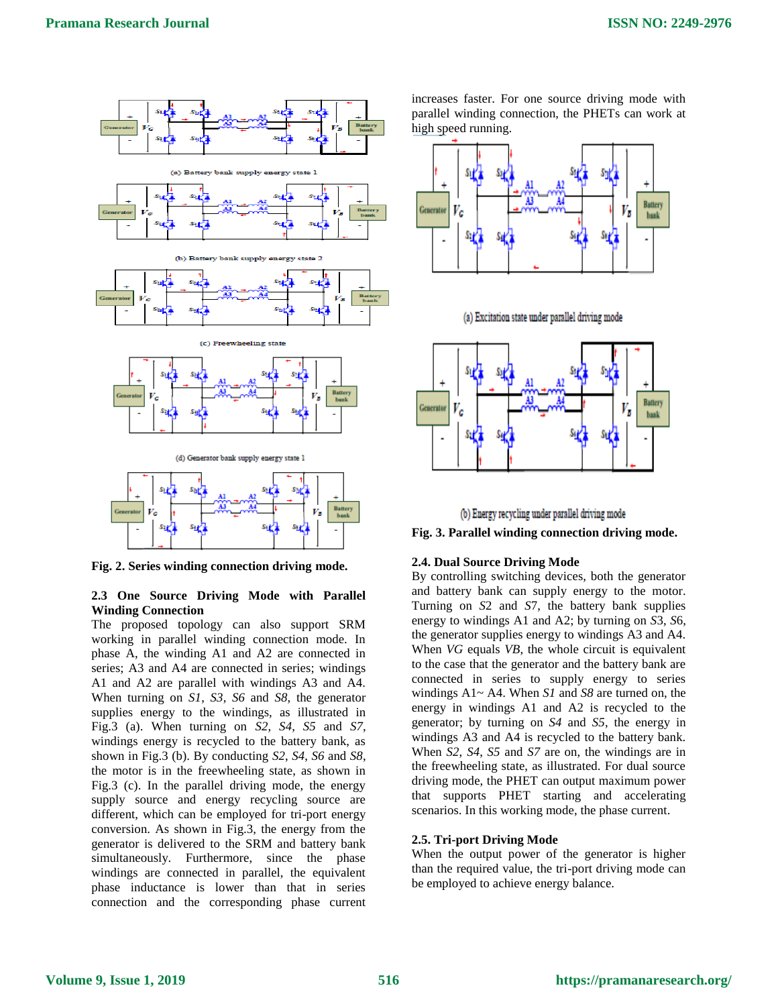

**Fig. 2. Series winding connection driving mode.**

## **2.3 One Source Driving Mode with Parallel Winding Connection**

The proposed topology can also support SRM working in parallel winding connection mode. In phase A, the winding A1 and A2 are connected in series; A3 and A4 are connected in series; windings A1 and A2 are parallel with windings A3 and A4. When turning on *S1*, *S3*, *S6* and *S8*, the generator supplies energy to the windings, as illustrated in Fig.3 (a). When turning on *S2*, *S4*, *S5* and *S7*, windings energy is recycled to the battery bank, as shown in Fig.3 (b). By conducting *S2*, *S4*, *S6* and *S8*, the motor is in the freewheeling state, as shown in Fig.3 (c). In the parallel driving mode, the energy supply source and energy recycling source are different, which can be employed for tri-port energy conversion. As shown in Fig.3, the energy from the generator is delivered to the SRM and battery bank simultaneously. Furthermore, since the phase windings are connected in parallel, the equivalent phase inductance is lower than that in series connection and the corresponding phase current

increases faster. For one source driving mode with parallel winding connection, the PHETs can work at high speed running.



(a) Excitation state under parallel driving mode





**Fig. 3. Parallel winding connection driving mode.**

## **2.4. Dual Source Driving Mode**

By controlling switching devices, both the generator and battery bank can supply energy to the motor. Turning on *S*2 and *S*7, the battery bank supplies energy to windings A1 and A2; by turning on *S*3, *S*6, the generator supplies energy to windings A3 and A4. When *VG* equals *VB*, the whole circuit is equivalent to the case that the generator and the battery bank are connected in series to supply energy to series windings A1~ A4. When *S1* and *S8* are turned on, the energy in windings A1 and A2 is recycled to the generator; by turning on *S4* and *S5*, the energy in windings A3 and A4 is recycled to the battery bank. When *S2*, *S4*, *S5* and *S7* are on, the windings are in the freewheeling state, as illustrated. For dual source driving mode, the PHET can output maximum power that supports PHET starting and accelerating scenarios. In this working mode, the phase current.

## **2.5. Tri-port Driving Mode**

When the output power of the generator is higher than the required value, the tri-port driving mode can be employed to achieve energy balance.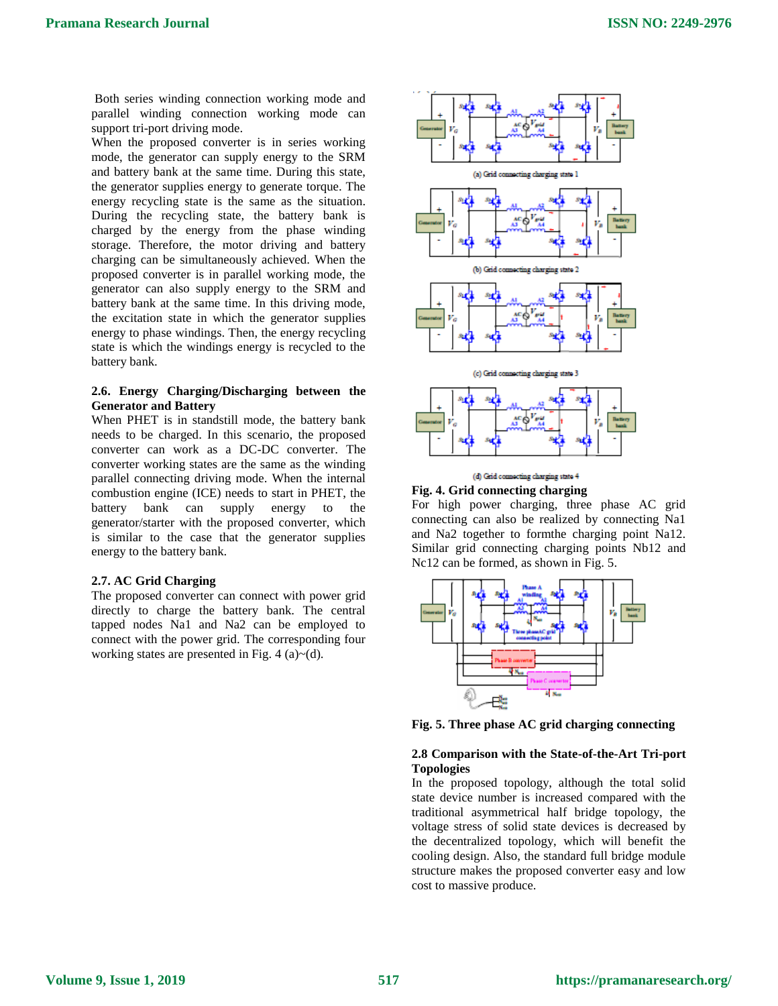Both series winding connection working mode and parallel winding connection working mode can support tri-port driving mode.

When the proposed converter is in series working mode, the generator can supply energy to the SRM and battery bank at the same time. During this state, the generator supplies energy to generate torque. The energy recycling state is the same as the situation. During the recycling state, the battery bank is charged by the energy from the phase winding storage. Therefore, the motor driving and battery charging can be simultaneously achieved. When the proposed converter is in parallel working mode, the generator can also supply energy to the SRM and battery bank at the same time. In this driving mode, the excitation state in which the generator supplies energy to phase windings. Then, the energy recycling state is which the windings energy is recycled to the battery bank.

## **2.6. Energy Charging/Discharging between the Generator and Battery**

When PHET is in standstill mode, the battery bank needs to be charged. In this scenario, the proposed converter can work as a DC-DC converter. The converter working states are the same as the winding parallel connecting driving mode. When the internal combustion engine (ICE) needs to start in PHET, the battery bank can supply energy to the generator/starter with the proposed converter, which is similar to the case that the generator supplies energy to the battery bank.

#### **2.7. AC Grid Charging**

The proposed converter can connect with power grid directly to charge the battery bank. The central tapped nodes Na1 and Na2 can be employed to connect with the power grid. The corresponding four working states are presented in Fig. 4 (a) $\sim$ (d).



#### (d) Grid connecting charging state 4 **Fig. 4. Grid connecting charging**

For high power charging, three phase AC grid connecting can also be realized by connecting Na1 and Na2 together to formthe charging point Na12. Similar grid connecting charging points Nb12 and Nc12 can be formed, as shown in Fig. 5.



**Fig. 5. Three phase AC grid charging connecting**

## **2.8 Comparison with the State-of-the-Art Tri-port Topologies**

In the proposed topology, although the total solid state device number is increased compared with the traditional asymmetrical half bridge topology, the voltage stress of solid state devices is decreased by the decentralized topology, which will benefit the cooling design. Also, the standard full bridge module structure makes the proposed converter easy and low cost to massive produce.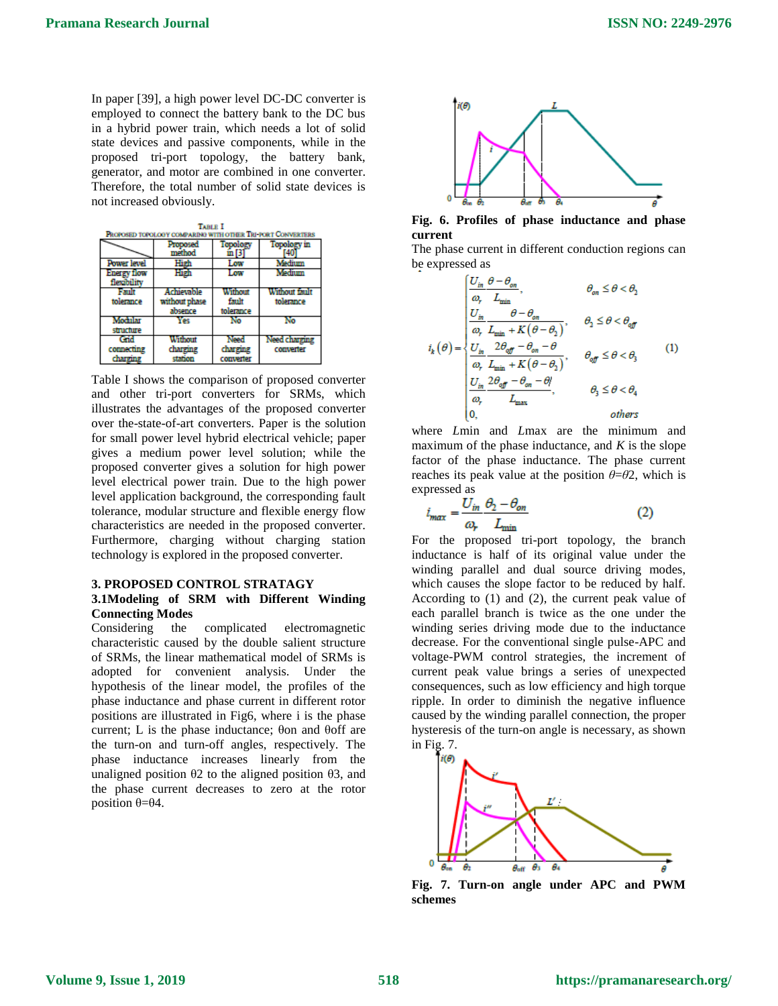In paper [39], a high power level DC-DC converter is employed to connect the battery bank to the DC bus in a hybrid power train, which needs a lot of solid state devices and passive components, while in the proposed tri-port topology, the battery bank, generator, and motor are combined in one converter. Therefore, the total number of solid state devices is not increased obviously.

| <b>TABLE I</b><br>PROPOSED TOPOLOGY COMPARING WITH OTHER TRI-FORT CONVERTERS |                                        |                               |                            |
|------------------------------------------------------------------------------|----------------------------------------|-------------------------------|----------------------------|
|                                                                              | Proposed<br>method                     | Topology                      | Topology in                |
| Power level                                                                  | High                                   | Low                           | Medium                     |
| Energy flow<br>flexibility                                                   | High                                   | Low                           | Medium                     |
| Fault<br>tolerance                                                           | Achievable<br>without phase<br>absence | Without<br>fault<br>tolerance | Without fault<br>tolerance |
| Modular<br>structure                                                         | ۷es                                    | No                            | No                         |
| Grid<br>connecting<br>charging                                               | Without<br>charging<br>station         | Need<br>charging<br>converter | Need charging<br>converter |

Table I shows the comparison of proposed converter and other tri-port converters for SRMs, which illustrates the advantages of the proposed converter over the-state-of-art converters. Paper is the solution for small power level hybrid electrical vehicle; paper gives a medium power level solution; while the proposed converter gives a solution for high power level electrical power train. Due to the high power level application background, the corresponding fault tolerance, modular structure and flexible energy flow characteristics are needed in the proposed converter. Furthermore, charging without charging station technology is explored in the proposed converter.

### **3. PROPOSED CONTROL STRATAGY 3.1Modeling of SRM with Different Winding Connecting Modes**

Considering the complicated electromagnetic characteristic caused by the double salient structure of SRMs, the linear mathematical model of SRMs is adopted for convenient analysis. Under the hypothesis of the linear model, the profiles of the phase inductance and phase current in different rotor positions are illustrated in Fig6, where i is the phase current; L is the phase inductance; θon and θoff are the turn-on and turn-off angles, respectively. The phase inductance increases linearly from the unaligned position  $θ$ 2 to the aligned position  $θ$ 3, and the phase current decreases to zero at the rotor position  $θ = θ4$ .



**Fig. 6. Profiles of phase inductance and phase current**

The phase current in different conduction regions can be expressed as

$$
i_{k}(\theta) = \begin{cases} \frac{U_{in} \theta - \theta_{on}}{\omega_{r}} & \theta_{on} \leq \theta < \theta_{2} \\ \frac{U_{in}}{\omega_{r}} \frac{\theta - \theta_{on}}{\omega_{min} + K(\theta - \theta_{2})}, & \theta_{2} \leq \theta < \theta_{off} \\ \frac{U_{in}}{\omega_{r}} \frac{2\theta_{off} - \theta_{on} - \theta}{L_{\min} + K(\theta - \theta_{2})}, & \theta_{off} \leq \theta < \theta_{3} \\ \frac{U_{in}}{\omega_{r}} \frac{2\theta_{off} - \theta_{on} - \theta_{1}}{L_{\max}}, & \theta_{3} \leq \theta < \theta_{4} \\ 0, & \text{others} \end{cases}
$$
(1)

where *L*min and *L*max are the minimum and maximum of the phase inductance, and *K* is the slope factor of the phase inductance. The phase current reaches its peak value at the position  $\theta = \theta^2$ , which is expressed as

$$
i_{\max} = \frac{U_{in}}{\omega_r} \frac{\theta_2 - \theta_{on}}{L_{\min}}
$$
 (2)

For the proposed tri-port topology, the branch inductance is half of its original value under the winding parallel and dual source driving modes, which causes the slope factor to be reduced by half. According to (1) and (2), the current peak value of each parallel branch is twice as the one under the winding series driving mode due to the inductance decrease. For the conventional single pulse-APC and voltage-PWM control strategies, the increment of current peak value brings a series of unexpected consequences, such as low efficiency and high torque ripple. In order to diminish the negative influence caused by the winding parallel connection, the proper hysteresis of the turn-on angle is necessary, as shown in Fig. 7.



**Fig. 7. Turn-on angle under APC and PWM schemes**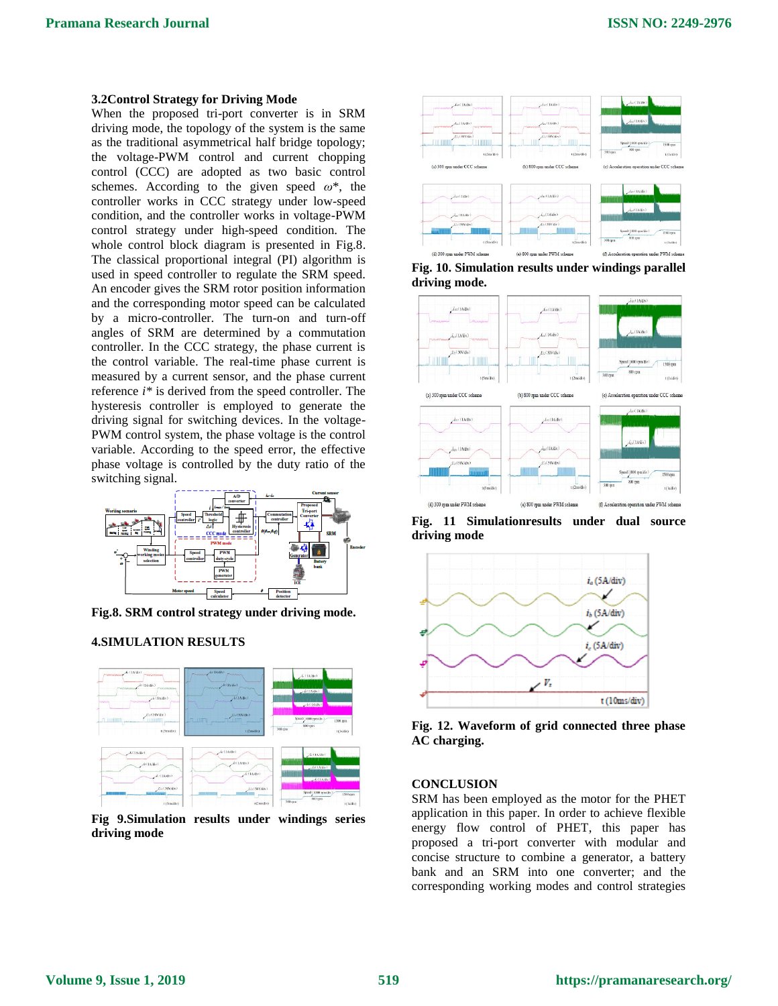#### **3.2Control Strategy for Driving Mode**

When the proposed tri-port converter is in SRM driving mode, the topology of the system is the same as the traditional asymmetrical half bridge topology; the voltage-PWM control and current chopping control (CCC) are adopted as two basic control schemes. According to the given speed *ω*\*, the controller works in CCC strategy under low-speed condition, and the controller works in voltage-PWM control strategy under high-speed condition. The whole control block diagram is presented in Fig.8. The classical proportional integral (PI) algorithm is used in speed controller to regulate the SRM speed. An encoder gives the SRM rotor position information and the corresponding motor speed can be calculated by a micro-controller. The turn-on and turn-off angles of SRM are determined by a commutation controller. In the CCC strategy, the phase current is the control variable. The real-time phase current is measured by a current sensor, and the phase current reference *i\** is derived from the speed controller. The hysteresis controller is employed to generate the driving signal for switching devices. In the voltage-PWM control system, the phase voltage is the control variable. According to the speed error, the effective phase voltage is controlled by the duty ratio of the switching signal.



**Fig.8. SRM control strategy under driving mode.**

#### **4.SIMULATION RESULTS**



**Fig 9.Simulation results under windings series driving mode**



**Fig. 10. Simulation results under windings parallel driving mode.**



**Fig. 11 Simulationresults under dual source driving mode**



**Fig. 12. Waveform of grid connected three phase AC charging.**

#### **CONCLUSION**

SRM has been employed as the motor for the PHET application in this paper. In order to achieve flexible energy flow control of PHET, this paper has proposed a tri-port converter with modular and concise structure to combine a generator, a battery bank and an SRM into one converter; and the corresponding working modes and control strategies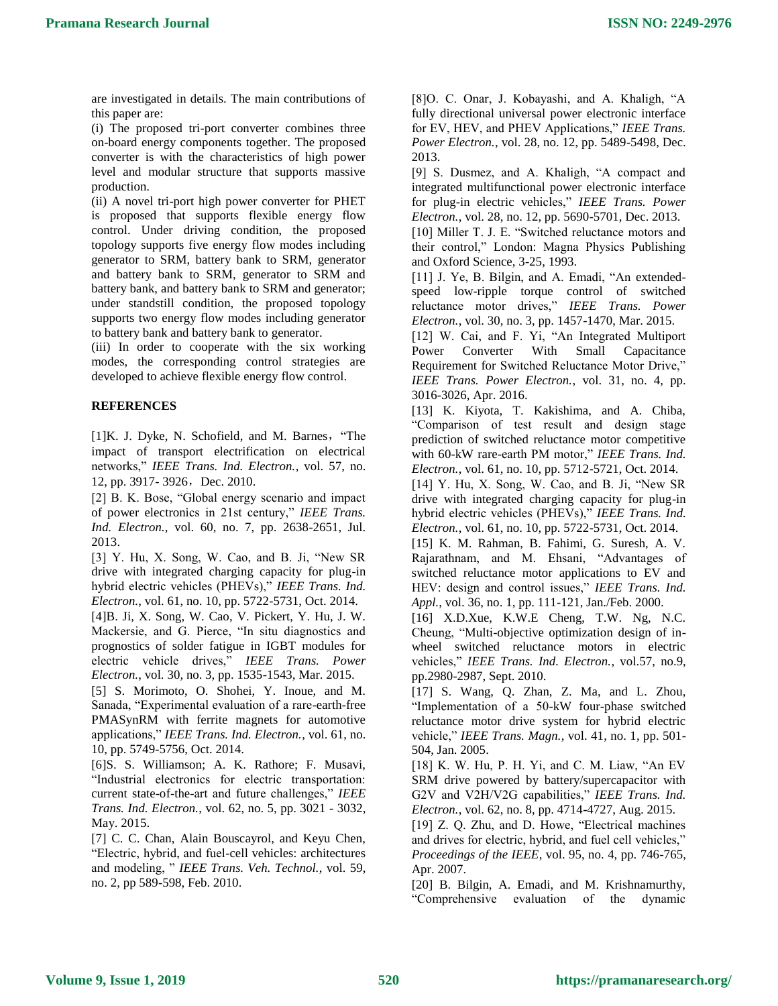are investigated in details. The main contributions of this paper are:

(i) The proposed tri-port converter combines three on-board energy components together. The proposed converter is with the characteristics of high power level and modular structure that supports massive production.

(ii) A novel tri-port high power converter for PHET is proposed that supports flexible energy flow control. Under driving condition, the proposed topology supports five energy flow modes including generator to SRM, battery bank to SRM, generator and battery bank to SRM, generator to SRM and battery bank, and battery bank to SRM and generator; under standstill condition, the proposed topology supports two energy flow modes including generator to battery bank and battery bank to generator.

(iii) In order to cooperate with the six working modes, the corresponding control strategies are developed to achieve flexible energy flow control.

## **REFERENCES**

[1]K. J. Dyke, N. Schofield, and M. Barnes, "The impact of transport electrification on electrical networks," *IEEE Trans. Ind. Electron.*, vol. 57, no. 12, pp. 3917- 3926, Dec. 2010.

[2] B. K. Bose, "Global energy scenario and impact of power electronics in 21st century," *IEEE Trans. Ind. Electron.,* vol. 60, no. 7, pp. 2638-2651, Jul. 2013.

[3] Y. Hu, X. Song, W. Cao, and B. Ji, "New SR drive with integrated charging capacity for plug-in hybrid electric vehicles (PHEVs)," *IEEE Trans. Ind. Electron.*, vol. 61, no. 10, pp. 5722-5731, Oct. 2014.

[4]B. Ji, X. Song, W. Cao, V. Pickert, Y. Hu, J. W. Mackersie, and G. Pierce, "In situ diagnostics and prognostics of solder fatigue in IGBT modules for electric vehicle drives," *IEEE Trans. Power Electron.*, vol. 30, no. 3, pp. 1535-1543, Mar. 2015.

[5] S. Morimoto, O. Shohei, Y. Inoue, and M. Sanada, "Experimental evaluation of a rare-earth-free PMASynRM with ferrite magnets for automotive applications," *IEEE Trans. Ind. Electron.*, vol. 61, no. 10, pp. 5749-5756, Oct. 2014.

[6]S. S. Williamson; A. K. Rathore; F. Musavi, "Industrial electronics for electric transportation: current state-of-the-art and future challenges," *IEEE Trans. Ind. Electron.*, vol. 62, no. 5, pp. 3021 - 3032, May. 2015.

[7] C. C. Chan, Alain Bouscayrol, and Keyu Chen, "Electric, hybrid, and fuel-cell vehicles: architectures and modeling, " *IEEE Trans. Veh. Technol.*, vol. 59, no. 2, pp 589-598, Feb. 2010.

[8]O. C. Onar, J. Kobayashi, and A. Khaligh, "A fully directional universal power electronic interface for EV, HEV, and PHEV Applications," *IEEE Trans. Power Electron.*, vol. 28, no. 12, pp. 5489-5498, Dec. 2013.

[9] S. Dusmez, and A. Khaligh, "A compact and integrated multifunctional power electronic interface for plug-in electric vehicles," *IEEE Trans. Power Electron.*, vol. 28, no. 12, pp. 5690-5701, Dec. 2013.

[10] Miller T. J. E. "Switched reluctance motors and their control," London: Magna Physics Publishing and Oxford Science, 3-25, 1993.

[11] J. Ye, B. Bilgin, and A. Emadi, "An extendedspeed low-ripple torque control of switched reluctance motor drives," *IEEE Trans. Power Electron.*, vol. 30, no. 3, pp. 1457-1470, Mar. 2015.

[12] W. Cai, and F. Yi, "An Integrated Multiport Power Converter With Small Capacitance Requirement for Switched Reluctance Motor Drive," *IEEE Trans. Power Electron.*, vol. 31, no. 4, pp. 3016-3026, Apr. 2016.

[13] K. Kiyota, T. Kakishima, and A. Chiba, "Comparison of test result and design stage prediction of switched reluctance motor competitive with 60-kW rare-earth PM motor," *IEEE Trans. Ind. Electron.*, vol. 61, no. 10, pp. 5712-5721, Oct. 2014.

[14] Y. Hu, X. Song, W. Cao, and B. Ji, "New SR drive with integrated charging capacity for plug-in hybrid electric vehicles (PHEVs)," *IEEE Trans. Ind. Electron.*, vol. 61, no. 10, pp. 5722-5731, Oct. 2014.

[15] K. M. Rahman, B. Fahimi, G. Suresh, A. V. Rajarathnam, and M. Ehsani, "Advantages of switched reluctance motor applications to EV and HEV: design and control issues," *IEEE Trans. Ind. Appl.*, vol. 36, no. 1, pp. 111-121, Jan./Feb. 2000.

[16] X.D.Xue, K.W.E Cheng, T.W. Ng, N.C. Cheung, "Multi-objective optimization design of inwheel switched reluctance motors in electric vehicles," *IEEE Trans. Ind. Electron.*, vol.57, no.9, pp.2980-2987, Sept. 2010.

[17] S. Wang, Q. Zhan, Z. Ma, and L. Zhou, "Implementation of a 50-kW four-phase switched reluctance motor drive system for hybrid electric vehicle," *IEEE Trans. Magn.*, vol. 41, no. 1, pp. 501- 504, Jan. 2005.

[18] K. W. Hu, P. H. Yi, and C. M. Liaw, "An EV SRM drive powered by battery/supercapacitor with G2V and V2H/V2G capabilities," *IEEE Trans. Ind. Electron.*, vol. 62, no. 8, pp. 4714-4727, Aug. 2015.

[19] Z. Q. Zhu, and D. Howe, "Electrical machines and drives for electric, hybrid, and fuel cell vehicles," *Proceedings of the IEEE*, vol. 95, no. 4, pp. 746-765, Apr. 2007.

[20] B. Bilgin, A. Emadi, and M. Krishnamurthy, "Comprehensive evaluation of the dynamic